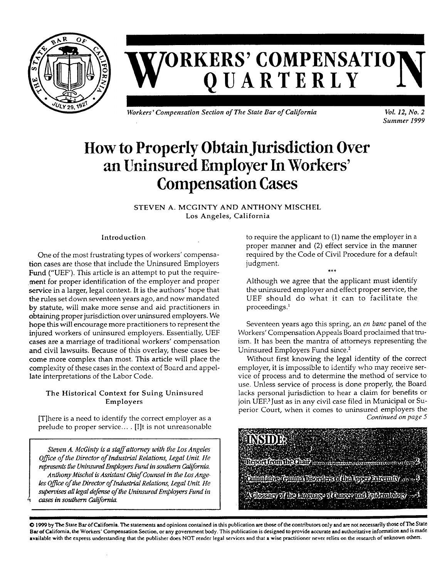

# **W**  $ORKERS'$  **COMPENSATIO QUARTERLY**

*Workers' Compensation Section of The State Bar ofCalifornia Vol. 12, No. 2*

*Summer 1999* 

# How to Properly ObtainJurisdiction Over an Uninsured Employer In Workers' **Compensation Cases**

STEVEN A. MCGINTY AND ANTHONY MISCHEL Los Angeles, California

## Introduction

One of the most frustrating types of workers' compensation cases are those that include the Uninsured Employers Fund ("UEF'). This article is an attempt to put the requirement for proper identification of the employer and proper service in a larger, legal context. It is the authors' hope that the rules set down seventeen years ago, and now mandated by statute, will make more sense and aid practitioners in obtaining proper jurisdiction over uninsured employers. We hope this will encourage more practitioners to represent the injured workers of uninsured employers. Essentially, UEF cases are a marriage of traditional workers' compensation and civil lawsuits. Because of this overlay, these cases become more complex than most. This article will place the complexity of these cases in the context of Board and appellate interpretations of the Labor Code.

## The Historical Context for Suing Uninsured Employers

[T]here is a need to identify the correct employer as a prelude to proper service... . [I]t is not unreasonable

*Steven A. McGinty is a staffattorney with the Los Angeles Office ofthe Director ofIndustrial Relations, Legal Unit. He representsthe UninsuredEmployersFund in southern California. AnthonyMischel is Assistant ChiefCounsel in the LosAngeles Office ofthe Director ofIndustrialRelations, Legal Unit He supervises alllegaldefense ofthe UninsuredEmployersFund in cases in southern California.* 

to require the applicant to (1) name the employer in a proper manner and (2) effect service in the manner required by the Code of Civil Procedure for a default judgment.

Although we agree that the applicant must identify the uninsured employer and effect proper service, the UEF should do what it can to facilitate the proceedings.<sup>1</sup>

Seventeen years ago this spring, an *en banc* panel of the Workers' Compensation Appeals Board proclaimed that truism. It has been the mantra of attorneys representing the Uninsured Employers Fund since.[2](#page-3-1) 

Without first knowing the legal identity of the correct employer, it is impossible to identify who may receive service of process and to determine the method of service to use. Unless service of process is done properly, the Board lacks personal jurisdiction to hear a claim for benefits or join UEF.[3](#page-3-2) Just as in any civil case filed in Municipal or Superior Court, when it comes to uninsured employers the *Continued on page 5*



© 1999 by The State BarofCalifornia. The statements and opinions contained in this publication are those ofthe contributors only and are not necessarily those ofThe State Bar ofCalifornia, the Workers' Compensation Section, or any government body. This publication is designed to provide accurate and authoritative information and is made available with the express understanding that the publisher does NOT render legal services and that a wise practitioner never relies on the research of unknown others.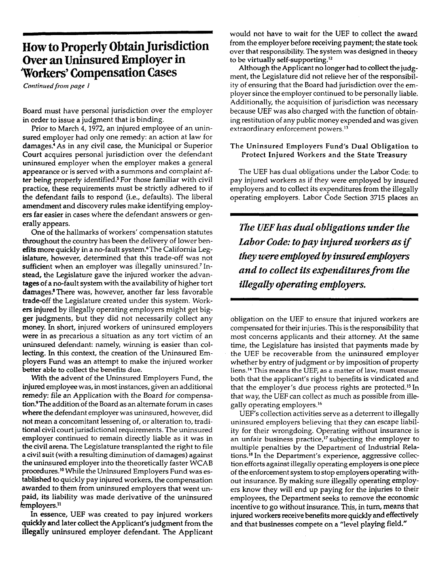## **Howto ProperlyObtainJurisdiction Over anUninsured Employer in "Workers' Compensation Cases**

*Continuedfrom page I*

Board must have personal jurisdiction over the employer in order to issue a judgment that is binding.

Prior to March 4, 1972, an injured employee of an uninsured employer had only one remedy: an action at law for damages.[4](#page-3-3) As in any civil case, the Municipal or Superior Court acquires personal jurisdiction over the defendant uninsured employer when the employer makes a general appearance or is served with a summons and complaint after being properly identified.[5](#page-3-4) For those familiar with civil practice, these requirements must be strictly adhered to if the defendant fails to respond (i.e., defaults). The liberal amendment and discovery rules make identifying employers far easier in cases where the defendant answers or generally appears.

One of the hallmarks of workers' compensation statutes throughout the country has been the delivery of lower ben-efits more quickly in a no-fault system.<sup>[6](#page-3-5)</sup>The California Legislature, however, determined that this trade-off was not sufficient when an employer was illegally uninsured.<sup>[7](#page-3-6)</sup> Instead, the Legislature gave the injured worker the advantages of a no-fault system with the availability of higher tort damages.<sup>8</sup> There was, however, another far less favorable trade-off the Legislature created under this system. Workers injured by illegally operating employers might get bigger judgments, but they did not necessarily collect any money. In short, injured workers of uninsured employers were in as precarious a situation as any tort victim of an uninsured defendant: namely, winning is easier than collecting. In this context, the creation of the Uninsured Employers Fund was an attempt to make the injured worker better able to collect the benefits due.

With the advent of the Uninsured Employers Fund, the injured employee was, in most instances, given an additional remedy: file an Application with the Board for compensation.<sup>9</sup> The addition of the Board as an alternate forum in cases where the defendant employer was uninsured, however, did not mean a concomitant lessening of, or alteration to, traditional civil court jurisdictional requirements. The uninsured employer continued to remain directly liable as it was in the civil arena. The Legislature transplanted the right to file a civil suit (with a resulting diminution of damages) against the uninsured employer into the theoretically faster WCAB procedures.<sup>[10](#page-4-0)</sup> While the Uninsured Employers Fund was established to quickly pay injured workers, the compensation awarded to them from uninsured employers that went unpaid, its liability was made derivative of the uninsured femployers.["](#page-4-1) 

In essence, UEF was created to pay injured workers quickly and later collect the Applicant's judgment from the illegally uninsured employer defendant. The Applicant would not have to wait for the UEF to collect the award from the employer before receiving payment; the state took over that responsibility. The system was designed in theory to be virtually self-supporting.[12](#page-4-8) 

Although the Applicant no longer had to collect the judgment, the Legislature did not relieve her of the responsibility of ensuring that the Board had jurisdiction over the employer since the employer continued to be personally liable. Additionally, the acquisition of jurisdiction was necessary because UEF was also charged with the function of obtaining restitution of any public money expended and was given extraordinary enforcement powers.<sup>13</sup>

#### The Uninsured Employers Fund's Dual Obligation to Protect Injured Workers and the State Treasury

The UEF has dual obligations under the Labor Code: to pay injured workers as if they were employed by insured employers and to collect its expenditures from the illegally operating employers. Labor Code Section 3715 places an

*The UEFhas dual obligations underthe Labor Code: topay injuredworkers asif theywere employedby insuredemployers and to collect its expendituresfrom the illegally operating employers.* 

obligation on the UEF to ensure that injured workers are compensated for their injuries. This is the responsibility that most concerns applicants and their attorney. At the same time, the Legislature has insisted that payments made by the UEF be recoverable from the uninsured employer whether by entry of judgment or by imposition of property liens.[14](#page-4-3) This means the UEF, as a matter of law, must ensure both that the applicant's right to benefits is vindicated and that the employer's due process rights are protected.<sup>[15](#page-4-4)</sup> In that way, the UEF can collect as much as possible from illegally operating employers.[16](#page-4-5) 

UEF's collection activities serve as a deterrent to illegally uninsured employers believing that they can escape liability for their wrongdoing. Operating without insurance is an unfair business practice,<sup>[17](#page-4-6)</sup> subjecting the employer to multiple penalties by the Department of Industrial Relations.[18](#page-4-7) In the Department's experience, aggressive collection efforts against illegally operating employers is one piece of the enforcement system to stop employers operating without insurance. By making sure illegally operating employers know they will end up paying for the injuries to their employees, the Department seeks to remove the economic incentive to go without insurance. This, in turn, means that injured workers receive benefits more quickly and effectively and that businesses compete on a "level playing field."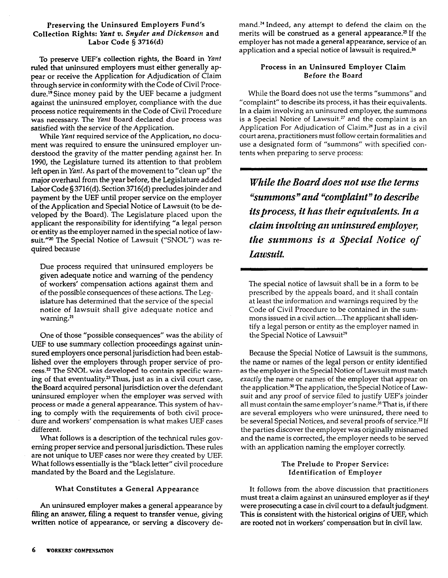#### Preserving the Uninsured Employers Fund's Collection Rights: *Yant v. Snyder and Dickenson* and Labor Code § 3716(d)

To preserve UEF's collection rights, the Board in *Yant* ruled that uninsured employers must either generally appear or receive the Application for Adjudication of Claim through service in conformity with the Code of Civil Procedure.<sup>19</sup> Since money paid by the UEF became a judgment against the uninsured employer, compliance with the due process notice requirements in the Code of Civil Procedure was necessary. The *Yant* Board declared due process was satisfied with the service of the Application.

While *Yant* required service of the Application, no document was required to ensure the uninsured employer understood the gravity of the matter pending against her. In 1990, the Legislature turned its attention to that problem left open in *Yant.* As part of the movement to "clean up" the major overhaul from the year before, the Legislature added Labor Code § 3716(d). Section 3716(d) precludes joinder and payment by the UEF until proper service on the employer of the Application and Special Notice of Lawsuit (to be developed by the Board). The Legislature placed upon the applicant the responsibility for identifying "a legal person or entity as the employer named in the special notice of lawsuit."[20](#page-4-10) The Special Notice of Lawsuit ("SNOL") was required because

Due process required that uninsured employers be given adequate notice and warning of the pendency of workers' compensation actions against them and of the possible consequences of these actions. The Legislature has determined that the service of the special notice of lawsuit shall give adequate notice and warning.<sup>21</sup>

One of those "possible consequences" was the ability of UEF to use summary collection proceedings against uninsured employers once personal jurisdiction had been established over the employers through proper service of process.[22](#page-4-12) The SNOL was developed to contain specific warn-ing of that eventuality.<sup>[23](#page-4-13)</sup> Thus, just as in a civil court case, the Board acquired personal jurisdiction over the defendant uninsured employer when the employer was served with process or made a general appearance. This system of having to comply with the requirements of both civil procedure and workers' compensation is what makes UEF cases different.

What follows is a description of the technical rules governing proper service and personal jurisdiction. These rules are not unique to UEF cases nor were they created by UEF. What follows essentially is the "black letter" civil procedure mandated by the Board and the Legislature.

### What Constitutes a General Appearance

An uninsured employer makes a general appearance by filing an answer, filing a request to transfer venue, giving written notice of appearance, or serving a discovery demand.[2](#page-4-14)<sup>4</sup> Indeed, any attempt to defend the claim on the merits will be construed as a general appearance.<sup>[25](#page-4-19)</sup> If the employer has not made a general appearance, service of an application and a special notice of lawsuit is required.<sup>26</sup>

## Process in an Uninsured Employer Claim Before the Board

While the Board does not use the terms "summons" and "complaint" to describe its process, it has their equivalents. In a claim involving an uninsured employer, the summons is a Special Notice of Lawsuit.<sup>[27](#page-4-21)</sup> and the complaint is an Application For Adjudication of Claim.<sup>[28](#page-4-22)</sup> Just as in a civil court arena, practitioners must follow certain formalities and use a designated form of "summons" with specified contents when preparing to serve process:

*While theBoard does not use the terms "summons"and "complaint" to describe itsprocess, it hastheir equivalents. In a claim involving an uninsuredemployer, the summons is a Special Notice of Lawsuit.* 

The special notice of lawsuit shall be in a form to be prescribed by the appeals board, and it shall contain at least the information and warnings required by the Code of Civil Procedure to be contained in the summons issued in a civil action....The applicant shall identify a legal person or entity as the employer named in the Special Notice of Lawsuit<sup>29</sup>

Because the Special Notice of Lawsuit is the summons, the name or names of the legal person or entity identified as the employer in the Special Notice of Lawsuit must match *exactly* the name or names of the employer that appear on the application.<sup>[30](#page-4-16)</sup> The application, the Special Notice of Lawsuit and any proof of service filed to justify UEF's joinder all must contain the same employer's name.<sup>[31](#page-4-17)</sup> That is, if there are several employers who were uninsured, there need to be several Special Notices, and several proofs of service.<sup>[32](#page-4-18)</sup> If the parties discover the employer was originally misnamed and the name is corrected, the employer needs to be served with an application naming the employer correctly.

#### The Prelude to Proper Service: Identification of Employer

It follows from the above discussion that practitioners must treat a claim against an uninsured employer as if they\* were prosecuting a case in civil court to a default judgment. This is consistent with the historical origins of UEF, which are rooted not in workers' compensation but in civil law.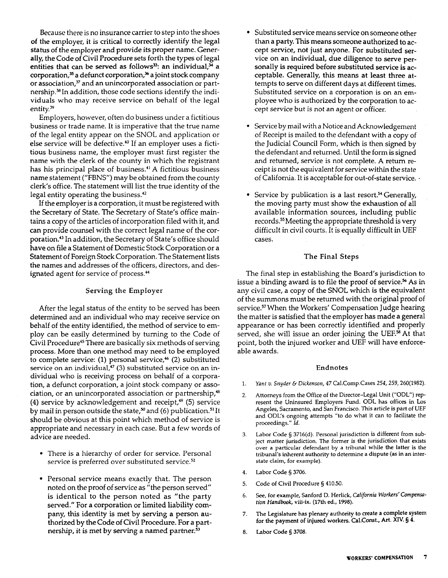Because there is no insurance carrier to step into the shoes of the employer, it is critical to correctly identify the legal status of the employer and provide its proper name. Generally, the Code of Civil Procedure sets forth the types of legal entities that can be served as follows<sup>[33](#page-4-23)</sup>: an individual, $\frac{3}{4}$  a corporation, $35$  a defunct corporation, $36$  a joint stock company or association,<sup>[37](#page-4-27)</sup> and an unincorporated association or partnership.[38](#page-4-28) In addition, those code sections identify the individuals who may receive service on behalf of the legal entity.[39](#page-4-29) 

Employers, however, often do business under a fictitious business or trade name. It is imperative that the true name of the legal entity appear on the SNOL and application or else service will be defective.<sup>[40](#page-4-30)</sup> If an employer uses a fictitious business name, the employer must first register the name with the clerk of the county in which the registrant has his principal place of business.<sup>[4](#page-4-31)1</sup> A fictitious business name statement ("FBNS") may be obtained from the county clerk's office. The statement will list the true identity of the legal entity operating the business.[42](#page-4-32) 

If the employer is a corporation, it must be registered with the Secretary of State. The Secretary of State's office maintains a copy of the articles of incorporation filed with it, and can provide counsel with the correct legal name of the corporation.[43](#page-4-33) In addition, the Secretary of State's office should have on file a Statement of Domestic Stock Corporation or a Statement of Foreign StockCorporation. The Statement lists the names and addresses of the officers, directors, and designated agent for service of process.<sup>44</sup>

#### Serving the Employer

After the legal status of the entity to be served has been determined and an individual who may receive service on behalf of the entity identified, the method of service to employ can be easily determined by turning to the Code of Civil Procedure<sup>[45](#page-4-35)</sup> There are basically six methods of serving process. More than one method may need to be employed to complete service: (1) personal service,<sup>[46](#page-4-36)</sup> (2) substituted service on an individual, $47$  (3) substituted service on an individual who is receiving process on behalf of a corporation, a defunct corporation, a joint stock company or association, or an unincorporated association or partnership,<sup>48</sup> (4) service by acknowledgement and receipt, $49$  (5) service by mail in person outside the state,<sup>[50](#page-4-40)</sup> and (6) publication.<sup>51</sup> It should be obvious at this point which method of service is appropriate and necessary in each case. But a few words of advice are needed.

- There is a hierarchy of order for service. Personal service is preferred over substituted service.<sup>52</sup>
- Personal service means exactly that. The person noted on the proof of service as "the person served" is identical to the person noted as "the party served." For a corporation or limited liability company, this identity is met by serving a person authorized by the Code of Civil Procedure. For a partnership, it is met by serving a named partner.<sup>53</sup>
- Substituted service means service on someone other than a party. This means someone authorized to accept service, not just anyone. For substituted service on an individual, due diligence to serve personally is required before substituted service is acceptable. Generally, this means at least three attempts to serve on different days at different times. Substituted service on a corporation is on an employee who is authorized by the corporation to accept service but is not an agent or officer.
- Service by mail with a Notice and Acknowledgement of Receipt is mailed to the defendant with a copy of the Judicial Council Form, which is then signed by the defendant and returned. Until the form issigned and returned, service is not complete. A return receipt is not the equivalent for service within the state of California. It is acceptable for out-of-state service. •
- Service by publication is a last resort.<sup>[54](#page-4-44)</sup> Generally, the moving party must show the exhaustion of all available information sources, including public records.[55](#page-4-45)Meeting the appropriate threshold is very difficult in civil courts. It is equally difficult in UEF cases.

## The Final Steps

The final step in establishing the Board's jurisdiction to issue a binding award is to file the proof of service.<sup>[56](#page-4-46)</sup> As in any civil case, a copy of the SNOL which is the equivalent of the summons must be returned with the original proof of service.<sup>[57](#page-4-47)</sup> When the Workers' Compensation Judge hearing the matter is satisfied that the employer has made a general appearance or has been correctly identified and properly served, she will issue an order joining the UEF.<sup>[58](#page-4-48)</sup> At that point, both the injured worker and UEF will have enforceable awards.

### Endnotes

- <span id="page-3-0"></span>1. *Yant v. Snyder & Dickenson,* 47 Cal.Comp.Cases *254, 259,* 260(1982).
- <span id="page-3-1"></span>2. Attorneys from the Office of the Director-Legal Unit ("ODL") represent the Uninsured Employers Fund. ODL has offices in Los Angeles, Sacramento, and San Francisco. This article is part of UEF and ODL's ongoing attempts "to do what it can to facilitate the proceedings." *Id.*
- <span id="page-3-2"></span>3. Labor Code § 3716(d). Personal jurisdiction is different from subject matter jurisdiction. The former is the jurisdiction that exists over a particular defendant by a tribunal while the latter is the tribunal's inherent authority to determine a dispute (as in an interstate claim, for example).
- <span id="page-3-3"></span>4. Labor Code § 3706.
- <span id="page-3-4"></span>5. Code of Civil Procedure § 410.50.
- <span id="page-3-5"></span>6. See, for example, Sanford D. Herlick, *California Workers' Compensation Handbook,* viii-ix. (17th ed., 1998).
- <span id="page-3-6"></span>7. The Legislature has plenary authority to create a complete system for the payment of injured workers. Cal.Const., Art. XTV. § 4.
- <span id="page-3-7"></span>8. Labor Code § 3708.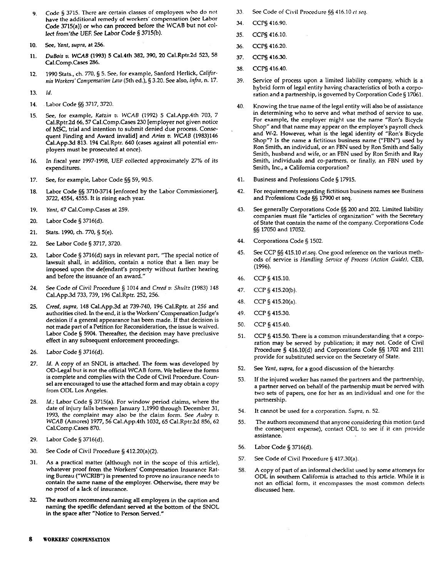- 9. Code § 3715. There are certain classes of employees who do not have the additional remedy of workers' compensation (see Labor Code 3715(a)) or who can proceed before the WCAB but not collect from'the UEF. See Labor Code § 3715(b).
- <span id="page-4-0"></span>10. See, *Yant, supra,* at 256.
- <span id="page-4-1"></span>11. *DuBois v. WCAB* (1993) 5 Cal.4th 382, 390, 20 Cal.Rptr.2d 523, 58 Cal.Comp.Cases 286.
- <span id="page-4-8"></span>12. 1990 Stats., ch. 770, § 5. See, for example, Sanford Herlick, *California Workers' Compensation Law* (5th ed.), § 3.20. See also, *infra,* n. 17.
- <span id="page-4-2"></span>13. *Id.*
- <span id="page-4-3"></span>14. Labor Code §§ 3717, 3720.
- <span id="page-4-4"></span>15. See, for example, *Katzin v. WCAB* (1992) 5 Cal.App.4th 703, 7 Cal.Rptr.2d 66,57 Cal.Comp.Cases 230 [employer not given notice of MSC, trial and intention to submit denied due process. Consequent Finding and Award invalid] and *Arias v. WCAB* (1983)146 Cal.App.3d 813. 194 Cal.Rptr. 640 (cases against all potential employers must be prosecuted at once).
- <span id="page-4-5"></span>16. In fiscal year 1997-1998, UEF collected approximately 27% *of* its expenditures.
- <span id="page-4-6"></span>17. See, for example, Labor Code §§ 59, 90.5.
- <span id="page-4-7"></span>18. Labor Code §§ 3710-3714 [enforced by the Labor Commissioner], 3722, 4554, 4555. It is rising each year.
- <span id="page-4-9"></span>19. *Yant,* 47 Cal.Comp.Cases at 259.
- <span id="page-4-10"></span>20. Labor Code § 3716(d).
- <span id="page-4-11"></span>21. Stats. 1990, ch. 770, § 5(e).
- <span id="page-4-12"></span>22. See Labor Code § 3717, 3720.
- <span id="page-4-13"></span>23. Labor Code § 3716(d) says in relevant part, "The special notice of lawsuit shall, in addition, contain a notice that a lien may be imposed upon the defendant's property without further hearing and before the issuance of an award."
- <span id="page-4-14"></span>24. See Code of Civil Procedure § 1014 and *Creed v. Shultz* (1983) 148 Cal.App.3d 733, 739, 196 Cal.Rptr. 252, 256.
- <span id="page-4-19"></span>25. *Creed, supra,* 148 Cal.App.3d at 739-740, 196 Cal.Rptr. at 256 and authorities cited. In the end, it is the Workers' Compensation Judge's decision if a general appearance has been made. If that decision is not made part of a Petition for Reconsideration, the issue is waived. Labor Code § 5904. Thereafter, the decision may have preclusive effect in any subsequent enforcement proceedings.
- <span id="page-4-20"></span>26. Labor Code § 3716(d).
- <span id="page-4-21"></span>27. *Id.* A copy of an SNOL is attached. The form was developed by OD-Legal but is not the official WCAB form. We believe the forms is complete and complies with the Code of Civil Procedure. Counsel are encouraged to use the attached form and may obtain a copy from ODL Los Angeles.
- <span id="page-4-22"></span>28. *Id.;* Labor Code § 3715(a). For window period claims, where the date of injury falls between January 1,1990 through December 31, 1993, the complaint may also be the claim form. See *Aubry v. WCAB* (Amores) 1977, 56 Cal.App.4th 1032, 65 Cal.Rptr.2d 856, 62 Cal.Comp.Cases 870.
- <span id="page-4-15"></span>29. Labor Code § 3716(d).
- <span id="page-4-16"></span>30. See Code of Civil Procedure § 412.20(a)(2).
- <span id="page-4-17"></span>31. As a practical matter (although not in the scope of this article), whatever proof from the Workers' Compensation Insurance Rating Bureau ("WCRIB") is presented to prove no insurance needs to contain the same name of the employer. Otherwise, there may be no proof of a lack of insurance.
- <span id="page-4-18"></span>32. The authors recommend naming all employers in the caption and naming the specific defendant served at the bottom of the SNOL in the space after "Notice to Person Served."
- <span id="page-4-23"></span>33. See Code of Civil Procedure §§ 416.10 *ct seq.*
- <span id="page-4-24"></span>34. CCP§ 416.90.
- <span id="page-4-25"></span>35. CCP§ 416.10.
- <span id="page-4-26"></span>36. CCP§ 416.20.
- <span id="page-4-27"></span>37. CCP§ 416.30.
- <span id="page-4-28"></span>38. CCP§ 416.40.
- <span id="page-4-29"></span>39. Service of process upon a limited liability company, which is a hybrid form of legal entity having characteristics of both a corporation and a partnership, is governed by Corporation Code § 17061.
- <span id="page-4-30"></span>40. Knowing the true name of the legal entity will also be of assistance in determining who to serve and what method of service to use. For example, the employer might use the name "Ron's Bicycle Shop" and that name may appear on the employee's payroll check and W-2. However, what is the legal identity of "Ron's Bicycle Shop"? Is the name a fictitious business name ("FBN") used by Ron Smith, an individual, or an FBN used by Ron Smith and Sally Smith, husband and wife, or an FBN used by Ron Smith and Ray Smith, individuals and co-partners, or finally, an FBN used by Smith, Inc., a California corporation?
- <span id="page-4-31"></span>41. Business and Professions Code § 17915.
- <span id="page-4-32"></span>42. For requirements regarding fictitious business names see Business and Professions Code §§ 17900 et seq.
- <span id="page-4-33"></span>43. See generally Corporations Code §§ 200 and 202. Limited liability companies must file "articles of organization" with the Secretary of State that contain the name of the company. Corporations Code §§ 17050 and 17052.
- <span id="page-4-34"></span>44. Corporations Code § 1502.
- <span id="page-4-35"></span>45. See CCP §§ 415.10 *et.seq.* One good reference on the various methods of service is *Handling Service of Process (Action Guide),* CEB, (1996).
- <span id="page-4-36"></span>46. CCP §415.10.
- <span id="page-4-37"></span>47. CCP § 415.20(b).
- <span id="page-4-38"></span>48. CCP § 415.20(a).
- <span id="page-4-39"></span>49. CCP § 415.30.
- <span id="page-4-40"></span>50. CCP §415.40.
- <span id="page-4-41"></span>51. CCP § 415.50. There is a common misunderstanding that a corporation may be served by publication; it may not. Code of Civil Procedure § 416.10(d) and Corporations Code §§ 1702 and 2111 provide for substituted service on the Secretary of State.
- <span id="page-4-42"></span>52. See *Yant, supra,* for a good discussion of the hierarchy.
- <span id="page-4-43"></span>53. If the injured worker has named the partners and the partnership, a partner served on behalf of the partnership must be served with two sets of papers, one for her as an individual and one for the partnership.
- <span id="page-4-44"></span>54. It cannot be used for a corporation. *Supra,* n. 52.
- <span id="page-4-45"></span>55. The authors recommend that anyone considering this motion (and the consequent expense), contact ODL to see if it can provide assistance.
- <span id="page-4-46"></span>56. Labor Code § 3716(d).
- <span id="page-4-47"></span>57. See Code of Civil Procedure § 417.30(a).
- <span id="page-4-48"></span>58. A copy of part of an informal checklist used by some attorneys for ODL in southern California is attached to this article. While it is not an official form, it encompasses the most common defects discussed here.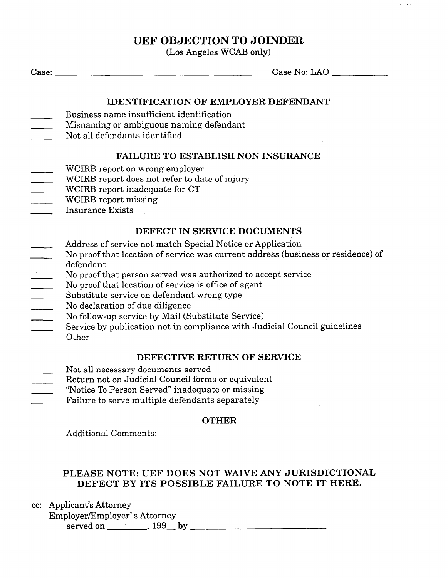## **UEF OBJECTION TO JOINDER**

(Los Angeles WCAB only)

Case: Case No: LAO Case No: LAO Case No: LAO Case No: LAO Case No: LAO Case No: LAO Case No: LAO Case No: LAO Case No: LAO Case No: LAO Case No: LAO Case No: LAO Case No: LAO Case No: LAO Case No: LAO Case No: LAO Case No:

## **IDENTIFICATION OF EMPLOYER DEFENDANT**

- Business name insufficient identification
- Misnaming or ambiguous naming defendant
- Not all defendants identified

## **FAILURE TO ESTABLISH NON INSURANCE**

- WCIRB report on wrong employer
- WCIRB report does not refer to date of injury
- WCIRB report inadequate for CT
- WCIRB report missing
- Insurance Exists  $\mathbb{R}^n$

## **DEFECT IN SERVICE DOCUMENTS**

- Address of service not match Special Notice or Application
- No proof that location of service was current address (business or residence) of defendant
- $\begin{array}{c} \mathcal{L}_{\mathcal{A}} \left( \mathcal{L}_{\mathcal{A}} \right) \left( \mathcal{L}_{\mathcal{A}} \right) \left( \mathcal{L}_{\mathcal{A}} \right) \left( \mathcal{L}_{\mathcal{A}} \right) \left( \mathcal{L}_{\mathcal{A}} \right) \left( \mathcal{L}_{\mathcal{A}} \right) \left( \mathcal{L}_{\mathcal{A}} \right) \left( \mathcal{L}_{\mathcal{A}} \right) \left( \mathcal{L}_{\mathcal{A}} \right) \left( \mathcal{L}_{\mathcal{A}} \right) \left( \mathcal{L}_{\mathcal{A}} \right) \left($ No proof that person served was authorized to accept service
- No proof that location of service is office of agent  $\overline{\phantom{a}}$
- Substitute service on defendant wrong type  $\overline{\phantom{a}}$
- No declaration of due diligence
- No follow-up service by Mail (Substitute Service)  $\mathbb{R}^n$
- Service by publication not in compliance with Judicial Council guidelines
- **Other**

## **DEFECTIVE RETURN OF SERVICE**

- Not all necessary documents served
- Return not on Judicial Council forms or equivalent
- "Notice To Person Served" inadequate or missing
- Failure to serve multiple defendants separately

## **OTHER**

Additional Comments:

## **PLEASE NOTE: UEF DOES NOT WAIVE ANY JURISDICTIONAL DEFECT BY ITS POSSIBLE FAILURE TO NOTE IT HERE.**

- cc: Applicant's Attorney
	- Employer/Employer'<sup>s</sup> Attorney served on 199 by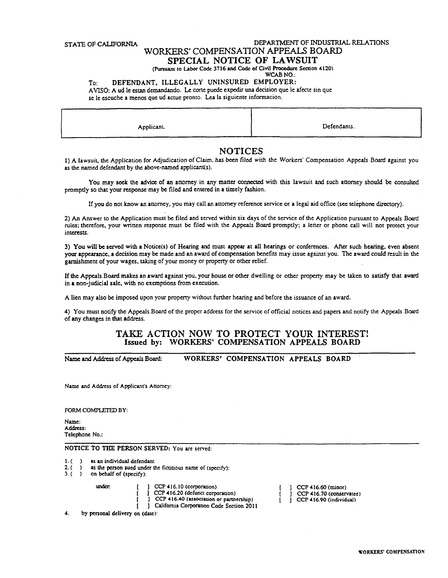#### **STATE OF CALIFORNIA DEPARTMENT OF INDUSTRIAL RELATIONS**

## WORKERS' COMPENSATION APPEALS BOARD

**SPECIAL NOTICE OF LAWSUIT** 

(Pursuant to Labor Code 3716 and Code of Civil Procedure Section 4120)

#### **WCAB NO.:**  To: **DEFENDANT, ILLEGALLY UNINSURED EMPLOYER:**

AVISO: A ud le estan demandando. Le corte puede expedir una decision que le afecte sin que se lc escuchc a menos que ud actuc pronto. Lea la siguiente informacion.

| -------   | __          |
|-----------|-------------|
| Applicant | Defendants. |
|           |             |

## **NOTICES**

1) A lawsuit, the Application for Adjudication ofClaim, has been filed with the Workers' Compensation Appeals Board against you as the named defendant by the above-named applicant(s).

You may seek the advice of an attorney in any matter connected with this lawsuit and such attorney should be consulted promptly so that your response may be filed and entered in a timely fashion.

If you do not know an attorney, you may call an attorney reference service or a legal aid office (see telephone directory).

2) An Answer to the Application must be filed and served within six days of the service of the Application pursuant to Appeals Board rules; therefore, your written response must be filed with the Appeals Board promptly; a letter or phone call will not protect your interests.

3) You will be served with a Notice(s) of Hearing and must appear at all hearings or conferences. After such hearing, even absent your appearance, a decision may be made and an award of compensation benefits may issue against you. The award could result in the garnishment of your wages, taking of your money or property or other relief.

Ifthe Appeals Board makes an award against you, your house or other dwelling or other property may be taken to satisfy that award in a non-judicial sale, with no exemptions from execution.

A lien may also be imposed upon your property without further hearing and before the issuance of an award.

4) You must notify the Appeals Board of the proper address for the service of official notices and papers and notify the Appeals Board of any changes in that address.

### **TAKE ACTION NOW TO PROTECT YOUR INTEREST! Issued by: WORKERS' COMPENSATION APPEALS BOARD**

**Name and Address of Appeals Board: WORKERS' COMPENSATION APPEALS BOARD** 

Name and Address of Applicant's Attorney:

FORM COMPLETED BY:

Name: Address: Telephone No.:

**NOTICE TO THE PERSON SERVED: You are served:** 

- 1. () as an individual defendant<br>2. () as the person sued under t
- 2. ( ) as the person sued under the fictitious name of (specify):  $3.$  ( ) on behalf of (specify):
- on behalf of (specify):

under. [ ] CCP 416.10 (corporation)

CCP 416.20 (defunct corporation)

CCP 416.40 (association or partnership)

California Corporation Code Section 2011

4. by personal delivery on (date):

CCP 416.60 (minor) CCP 416.70 (conservatee) Т. CCP 416.90 (individual)